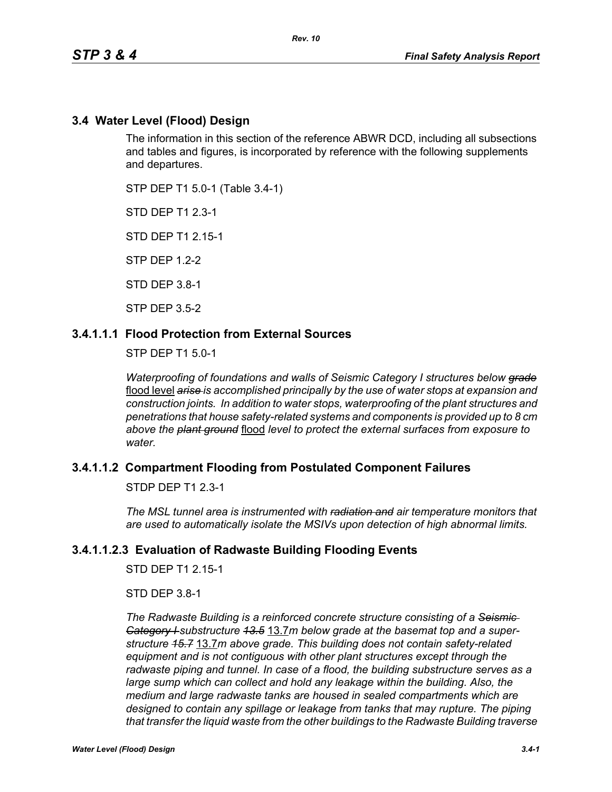### **3.4 Water Level (Flood) Design**

The information in this section of the reference ABWR DCD, including all subsections and tables and figures, is incorporated by reference with the following supplements and departures.

STP DEP T1 5.0-1 (Table 3.4-1)

STD DEP T1 2.3-1

STD DEP T1 2.15-1

STP DEP 1.2-2

STD DEP 3.8-1

STP DEP 3.5-2

#### **3.4.1.1.1 Flood Protection from External Sources**

STP DEP T1 5.0-1

*Waterproofing of foundations and walls of Seismic Category I structures below grade* flood level *arise is accomplished principally by the use of water stops at expansion and construction joints. In addition to water stops, waterproofing of the plant structures and penetrations that house safety-related systems and components is provided up to 8 cm above the plant ground* flood *level to protect the external surfaces from exposure to water.*

#### **3.4.1.1.2 Compartment Flooding from Postulated Component Failures**

STDP DEP T1 2.3-1

*The MSL tunnel area is instrumented with radiation and air temperature monitors that are used to automatically isolate the MSIVs upon detection of high abnormal limits.*

#### **3.4.1.1.2.3 Evaluation of Radwaste Building Flooding Events**

STD DEP T1 2 15-1

STD DEP 3.8-1

*The Radwaste Building is a reinforced concrete structure consisting of a Seismic Category I substructure 13.5* 13.7*m below grade at the basemat top and a superstructure 15.7* 13.7*m above grade. This building does not contain safety-related equipment and is not contiguous with other plant structures except through the radwaste piping and tunnel. In case of a flood, the building substructure serves as a large sump which can collect and hold any leakage within the building. Also, the medium and large radwaste tanks are housed in sealed compartments which are designed to contain any spillage or leakage from tanks that may rupture. The piping that transfer the liquid waste from the other buildings to the Radwaste Building traverse*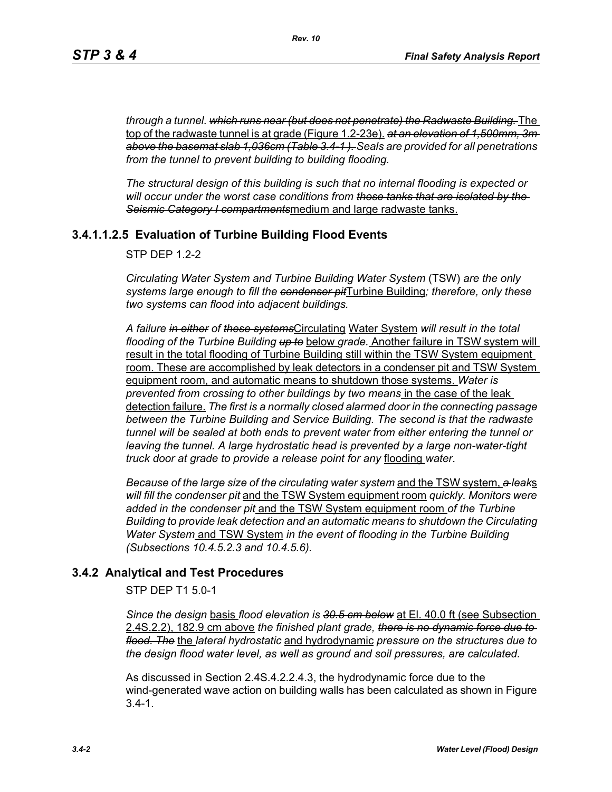*through a tunnel. which runs near (but does not penetrate) the Radwaste Building.* The top of the radwaste tunnel is at grade (Figure 1.2-23e). *at an elevation of 1,500mm, 3m above the basemat slab 1,036cm (Table 3.4-1 ). Seals are provided for all penetrations from the tunnel to prevent building to building flooding.*

*The structural design of this building is such that no internal flooding is expected or will occur under the worst case conditions from those tanks that are isolated by the Seismic Category I compartments*medium and large radwaste tanks.

# **3.4.1.1.2.5 Evaluation of Turbine Building Flood Events**

 $STP$  DFP 12-2

*Circulating Water System and Turbine Building Water System* (TSW) *are the only systems large enough to fill the condenser pit*Turbine Building*; therefore, only these two systems can flood into adjacent buildings.*

*A failure in either of these systems*Circulating Water System *will result in the total flooding of the Turbine Building up to* below *grade.* Another failure in TSW system will result in the total flooding of Turbine Building still within the TSW System equipment room. These are accomplished by leak detectors in a condenser pit and TSW System equipment room, and automatic means to shutdown those systems. *Water is prevented from crossing to other buildings by two means* in the case of the leak detection failure. *The first is a normally closed alarmed door in the connecting passage between the Turbine Building and Service Building. The second is that the radwaste tunnel will be sealed at both ends to prevent water from either entering the tunnel or leaving the tunnel. A large hydrostatic head is prevented by a large non-water-tight truck door at grade to provide a release point for any* flooding *water*.

*Because of the large size of the circulating water system* and the TSW system, *a leak*s *will fill the condenser pit* and the TSW System equipment room *quickly. Monitors were added in the condenser pit* and the TSW System equipment room *of the Turbine Building to provide leak detection and an automatic means to shutdown the Circulating Water System* and TSW System *in the event of flooding in the Turbine Building (Subsections 10.4.5.2.3 and 10.4.5.6).*

# **3.4.2 Analytical and Test Procedures**

STP DEP T1 5.0-1

*Since the design* basis *flood elevation is 30.5 cm below* at El. 40.0 ft (see Subsection 2.4S.2.2), 182.9 cm above *the finished plant grade, there is no dynamic force due to flood. The* the *lateral hydrostatic* and hydrodynamic *pressure on the structures due to the design flood water level, as well as ground and soil pressures, are calculated.*

As discussed in Section 2.4S.4.2.2.4.3, the hydrodynamic force due to the wind-generated wave action on building walls has been calculated as shown in Figure  $3.4 - 1.$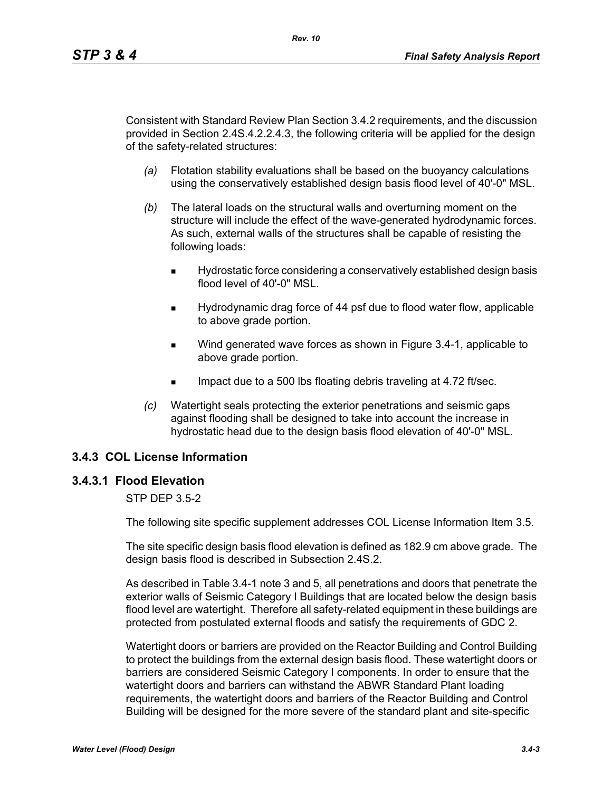Consistent with Standard Review Plan Section 3.4.2 requirements, and the discussion provided in Section 2.4S.4.2.2.4.3, the following criteria will be applied for the design of the safety-related structures:

- *(a)* Flotation stability evaluations shall be based on the buoyancy calculations using the conservatively established design basis flood level of 40'-0" MSL.
- *(b)* The lateral loads on the structural walls and overturning moment on the structure will include the effect of the wave-generated hydrodynamic forces. As such, external walls of the structures shall be capable of resisting the following loads:
	- Hydrostatic force considering a conservatively established design basis flood level of 40'-0" MSL.
	- Hydrodynamic drag force of 44 psf due to flood water flow, applicable to above grade portion.
	- Wind generated wave forces as shown in Figure 3.4-1, applicable to above grade portion.
	- Impact due to a 500 lbs floating debris traveling at 4.72 ft/sec.
- *(c)* Watertight seals protecting the exterior penetrations and seismic gaps against flooding shall be designed to take into account the increase in hydrostatic head due to the design basis flood elevation of 40'-0" MSL.

## **3.4.3 COL License Information**

#### **3.4.3.1 Flood Elevation**

#### STP DEP 3.5-2

The following site specific supplement addresses COL License Information Item 3.5.

The site specific design basis flood elevation is defined as 182.9 cm above grade. The design basis flood is described in Subsection 2.4S.2.

As described in Table 3.4-1 note 3 and 5, all penetrations and doors that penetrate the exterior walls of Seismic Category I Buildings that are located below the design basis flood level are watertight. Therefore all safety-related equipment in these buildings are protected from postulated external floods and satisfy the requirements of GDC 2.

Watertight doors or barriers are provided on the Reactor Building and Control Building to protect the buildings from the external design basis flood. These watertight doors or barriers are considered Seismic Category I components. In order to ensure that the watertight doors and barriers can withstand the ABWR Standard Plant loading requirements, the watertight doors and barriers of the Reactor Building and Control Building will be designed for the more severe of the standard plant and site-specific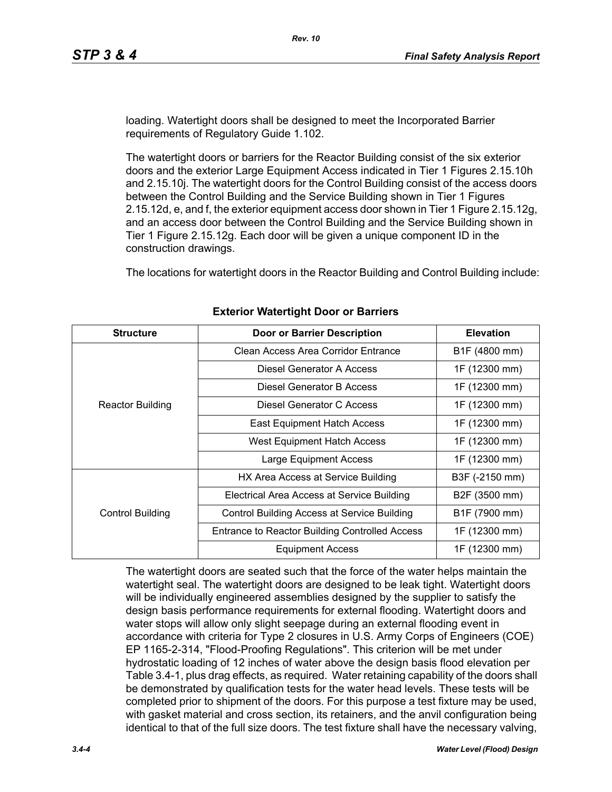loading. Watertight doors shall be designed to meet the Incorporated Barrier requirements of Regulatory Guide 1.102.

The watertight doors or barriers for the Reactor Building consist of the six exterior doors and the exterior Large Equipment Access indicated in Tier 1 Figures 2.15.10h and 2.15.10j. The watertight doors for the Control Building consist of the access doors between the Control Building and the Service Building shown in Tier 1 Figures 2.15.12d, e, and f, the exterior equipment access door shown in Tier 1 Figure 2.15.12g, and an access door between the Control Building and the Service Building shown in Tier 1 Figure 2.15.12g. Each door will be given a unique component ID in the construction drawings.

The locations for watertight doors in the Reactor Building and Control Building include:

| <b>Structure</b>        | <b>Door or Barrier Description</b>                 | <b>Elevation</b> |
|-------------------------|----------------------------------------------------|------------------|
|                         | Clean Access Area Corridor Entrance                | B1F (4800 mm)    |
|                         | Diesel Generator A Access                          | 1F (12300 mm)    |
|                         | Diesel Generator B Access                          | 1F (12300 mm)    |
| <b>Reactor Building</b> | Diesel Generator C Access                          | 1F (12300 mm)    |
|                         | East Equipment Hatch Access                        | 1F (12300 mm)    |
|                         | <b>West Equipment Hatch Access</b>                 | 1F (12300 mm)    |
|                         | Large Equipment Access                             | 1F (12300 mm)    |
|                         | HX Area Access at Service Building                 | B3F (-2150 mm)   |
|                         | Electrical Area Access at Service Building         | B2F (3500 mm)    |
| Control Building        | <b>Control Building Access at Service Building</b> | B1F (7900 mm)    |
|                         | Entrance to Reactor Building Controlled Access     | 1F (12300 mm)    |
|                         | <b>Equipment Access</b>                            | 1F (12300 mm)    |

#### **Exterior Watertight Door or Barriers**

The watertight doors are seated such that the force of the water helps maintain the watertight seal. The watertight doors are designed to be leak tight. Watertight doors will be individually engineered assemblies designed by the supplier to satisfy the design basis performance requirements for external flooding. Watertight doors and water stops will allow only slight seepage during an external flooding event in accordance with criteria for Type 2 closures in U.S. Army Corps of Engineers (COE) EP 1165-2-314, "Flood-Proofing Regulations". This criterion will be met under hydrostatic loading of 12 inches of water above the design basis flood elevation per Table 3.4-1, plus drag effects, as required. Water retaining capability of the doors shall be demonstrated by qualification tests for the water head levels. These tests will be completed prior to shipment of the doors. For this purpose a test fixture may be used, with gasket material and cross section, its retainers, and the anvil configuration being identical to that of the full size doors. The test fixture shall have the necessary valving,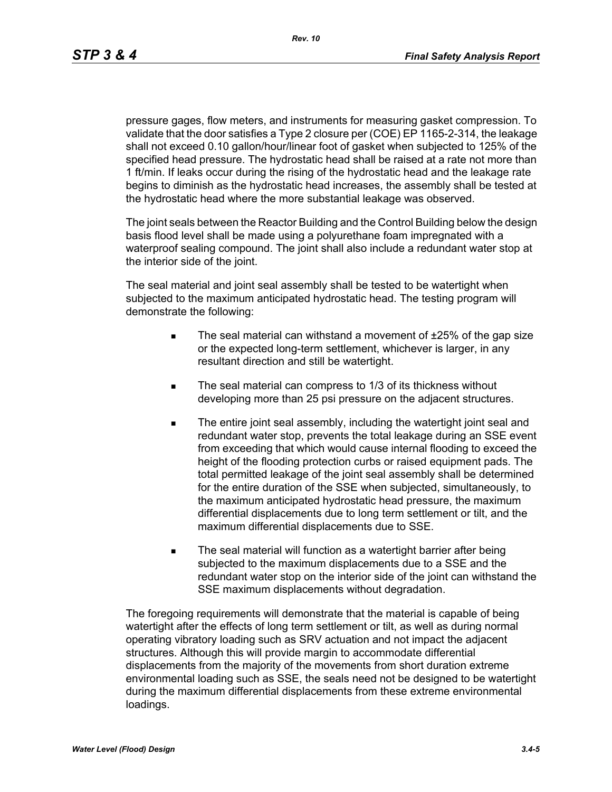pressure gages, flow meters, and instruments for measuring gasket compression. To validate that the door satisfies a Type 2 closure per (COE) EP 1165-2-314, the leakage shall not exceed 0.10 gallon/hour/linear foot of gasket when subjected to 125% of the specified head pressure. The hydrostatic head shall be raised at a rate not more than 1 ft/min. If leaks occur during the rising of the hydrostatic head and the leakage rate begins to diminish as the hydrostatic head increases, the assembly shall be tested at the hydrostatic head where the more substantial leakage was observed.

The joint seals between the Reactor Building and the Control Building below the design basis flood level shall be made using a polyurethane foam impregnated with a waterproof sealing compound. The joint shall also include a redundant water stop at the interior side of the joint.

The seal material and joint seal assembly shall be tested to be watertight when subjected to the maximum anticipated hydrostatic head. The testing program will demonstrate the following:

- The seal material can withstand a movement of  $±25%$  of the gap size or the expected long-term settlement, whichever is larger, in any resultant direction and still be watertight.
- The seal material can compress to 1/3 of its thickness without developing more than 25 psi pressure on the adjacent structures.
- The entire joint seal assembly, including the watertight joint seal and redundant water stop, prevents the total leakage during an SSE event from exceeding that which would cause internal flooding to exceed the height of the flooding protection curbs or raised equipment pads. The total permitted leakage of the joint seal assembly shall be determined for the entire duration of the SSE when subjected, simultaneously, to the maximum anticipated hydrostatic head pressure, the maximum differential displacements due to long term settlement or tilt, and the maximum differential displacements due to SSE.
- The seal material will function as a watertight barrier after being subjected to the maximum displacements due to a SSE and the redundant water stop on the interior side of the joint can withstand the SSE maximum displacements without degradation.

The foregoing requirements will demonstrate that the material is capable of being watertight after the effects of long term settlement or tilt, as well as during normal operating vibratory loading such as SRV actuation and not impact the adjacent structures. Although this will provide margin to accommodate differential displacements from the majority of the movements from short duration extreme environmental loading such as SSE, the seals need not be designed to be watertight during the maximum differential displacements from these extreme environmental loadings.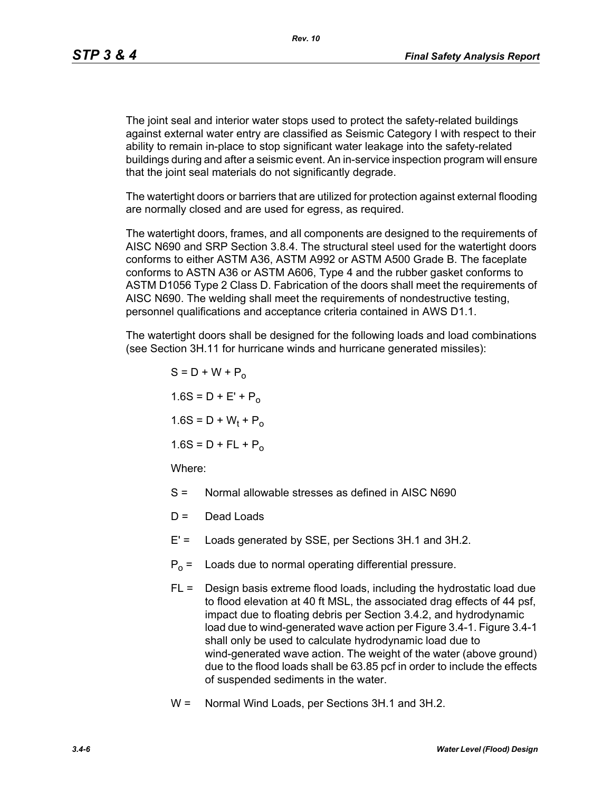*Rev. 10*

The joint seal and interior water stops used to protect the safety-related buildings against external water entry are classified as Seismic Category I with respect to their ability to remain in-place to stop significant water leakage into the safety-related buildings during and after a seismic event. An in-service inspection program will ensure that the joint seal materials do not significantly degrade.

The watertight doors or barriers that are utilized for protection against external flooding are normally closed and are used for egress, as required.

The watertight doors, frames, and all components are designed to the requirements of AISC N690 and SRP Section 3.8.4. The structural steel used for the watertight doors conforms to either ASTM A36, ASTM A992 or ASTM A500 Grade B. The faceplate conforms to ASTN A36 or ASTM A606, Type 4 and the rubber gasket conforms to ASTM D1056 Type 2 Class D. Fabrication of the doors shall meet the requirements of AISC N690. The welding shall meet the requirements of nondestructive testing, personnel qualifications and acceptance criteria contained in AWS D1.1.

The watertight doors shall be designed for the following loads and load combinations (see Section 3H.11 for hurricane winds and hurricane generated missiles):

$$
S = D + W + P_0
$$
  
1.6S = D + E' + P\_0  
1.6S = D + W<sub>t</sub> + P\_0  
1.6S = D + FL + P\_0  
Where:

- S = Normal allowable stresses as defined in AISC N690
- $D =$  Dead Loads
- E' = Loads generated by SSE, per Sections 3H.1 and 3H.2.
- $P_0$  = Loads due to normal operating differential pressure.
- $FL =$  Design basis extreme flood loads, including the hydrostatic load due to flood elevation at 40 ft MSL, the associated drag effects of 44 psf, impact due to floating debris per Section 3.4.2, and hydrodynamic load due to wind-generated wave action per Figure 3.4-1. Figure 3.4-1 shall only be used to calculate hydrodynamic load due to wind-generated wave action. The weight of the water (above ground) due to the flood loads shall be 63.85 pcf in order to include the effects of suspended sediments in the water.
- W = Normal Wind Loads, per Sections 3H.1 and 3H.2.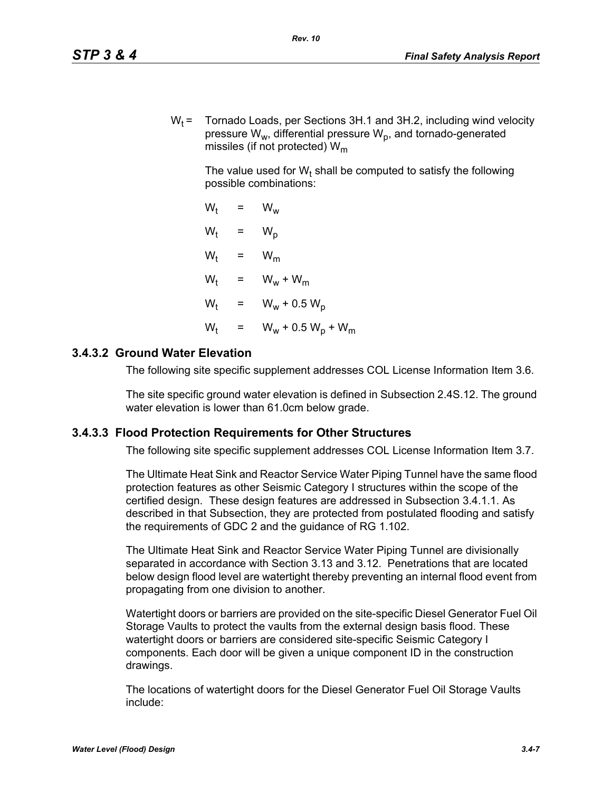$W_t$  = Tornado Loads, per Sections 3H.1 and 3H.2, including wind velocity pressure  $W_w$ , differential pressure  $W_p$ , and tornado-generated missiles (if not protected)  $W_m$ 

The value used for W<sub>t</sub> shall be computed to satisfy the following possible combinations:

 $W_t = W_w$  $W_t$  $= W_p$  $W_t$  =  $W_m$  $W_t$  =  $W_w + W_m$  $W_t$  =  $W_w + 0.5 W_p$  $W_{t}$ =  $W_w + 0.5 W_p + W_m$ 

#### **3.4.3.2 Ground Water Elevation**

The following site specific supplement addresses COL License Information Item 3.6.

The site specific ground water elevation is defined in Subsection 2.4S.12. The ground water elevation is lower than 61.0cm below grade.

#### **3.4.3.3 Flood Protection Requirements for Other Structures**

The following site specific supplement addresses COL License Information Item 3.7.

The Ultimate Heat Sink and Reactor Service Water Piping Tunnel have the same flood protection features as other Seismic Category I structures within the scope of the certified design. These design features are addressed in Subsection 3.4.1.1. As described in that Subsection, they are protected from postulated flooding and satisfy the requirements of GDC 2 and the guidance of RG 1.102.

The Ultimate Heat Sink and Reactor Service Water Piping Tunnel are divisionally separated in accordance with Section 3.13 and 3.12. Penetrations that are located below design flood level are watertight thereby preventing an internal flood event from propagating from one division to another.

Watertight doors or barriers are provided on the site-specific Diesel Generator Fuel Oil Storage Vaults to protect the vaults from the external design basis flood. These watertight doors or barriers are considered site-specific Seismic Category I components. Each door will be given a unique component ID in the construction drawings.

The locations of watertight doors for the Diesel Generator Fuel Oil Storage Vaults include: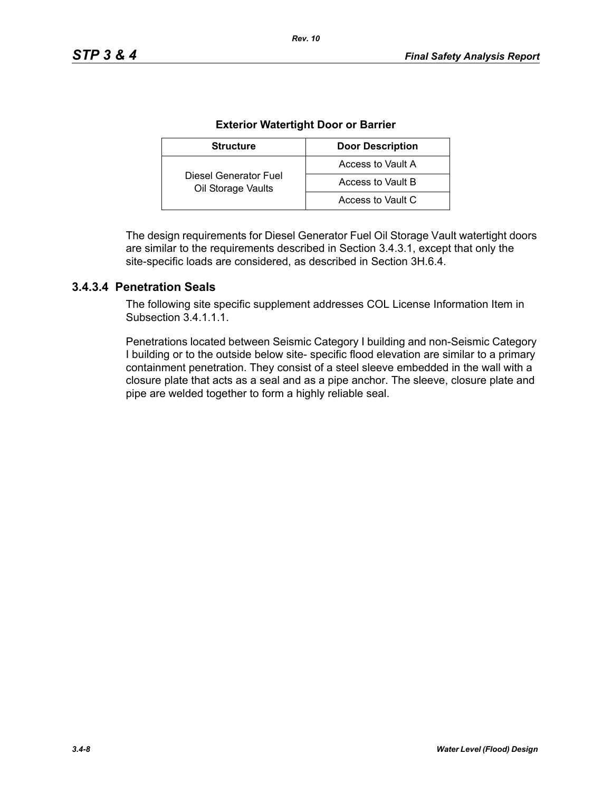| <b>Structure</b>                            | <b>Door Description</b> |  |  |
|---------------------------------------------|-------------------------|--|--|
|                                             | Access to Vault A       |  |  |
| Diesel Generator Fuel<br>Oil Storage Vaults | Access to Vault B       |  |  |
|                                             | Access to Vault C       |  |  |

#### **Exterior Watertight Door or Barrier**

*Rev. 10*

The design requirements for Diesel Generator Fuel Oil Storage Vault watertight doors are similar to the requirements described in Section 3.4.3.1, except that only the site-specific loads are considered, as described in Section 3H.6.4.

#### **3.4.3.4 Penetration Seals**

The following site specific supplement addresses COL License Information Item in Subsection 34111

Penetrations located between Seismic Category I building and non-Seismic Category I building or to the outside below site- specific flood elevation are similar to a primary containment penetration. They consist of a steel sleeve embedded in the wall with a closure plate that acts as a seal and as a pipe anchor. The sleeve, closure plate and pipe are welded together to form a highly reliable seal.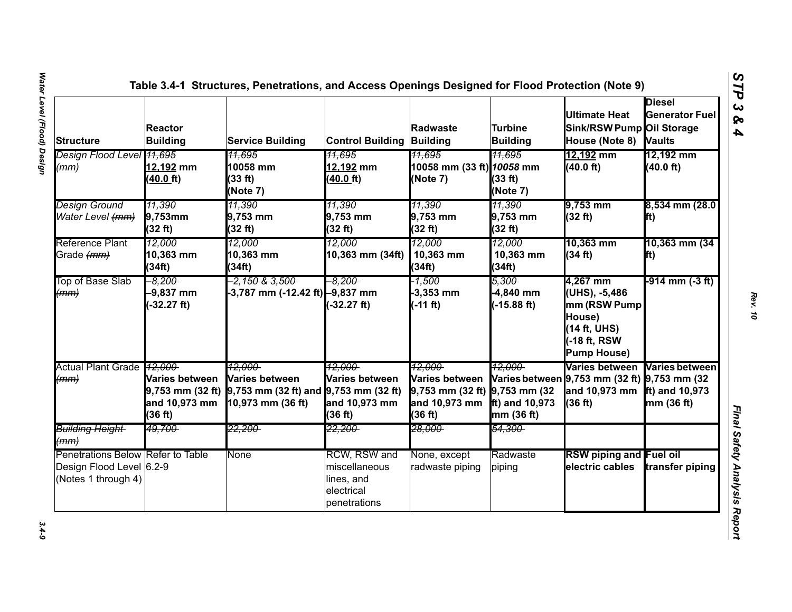| <b>Structure</b>                                                                     | <b>Reactor</b><br><b>Building</b>                                  | <b>Service Building</b>                                                                           | <b>Control Building Building</b>                                          | Radwaste                                                                              | Turbine<br><b>Building</b>                    | <b>Ultimate Heat</b><br>Sink/RSW Pump Oil Storage<br>House (Note 8)                                     | <b>Diesel</b><br><b>Generator Fuel</b><br><b>Vaults</b> |
|--------------------------------------------------------------------------------------|--------------------------------------------------------------------|---------------------------------------------------------------------------------------------------|---------------------------------------------------------------------------|---------------------------------------------------------------------------------------|-----------------------------------------------|---------------------------------------------------------------------------------------------------------|---------------------------------------------------------|
| Design Flood Level 41,695<br>(mm)                                                    | 12,192 mm<br>(40.0 ft)                                             | <del>11,695</del><br>10058 mm<br>(33 ft)<br>(Note 7)                                              | <del>11,695</del><br>12,192 mm<br>40.0 ft)                                | <u>11.695</u><br>10058 mm (33 ft) 10058 mm<br>(Note 7)                                | 11,695<br>(33 ft)<br>(Note 7)                 | 12,192 mm<br>(40.0 ft)                                                                                  | 12,192 mm<br>(40.0 ft)                                  |
| <b>Design Ground</b><br>Water Level (mm)                                             | <u>11,390</u><br>$9,753$ mm<br>(32 ft)                             | 11,390<br>9,753 mm<br>(32 ft)                                                                     | <u> 11,390</u><br>9,753 mm<br>(32 ft)                                     | <u>11,390</u><br>9,753 mm<br>(32 ft)                                                  | <u> 11,390</u><br>9,753 mm<br>(32 ft)         | 9,753 mm<br>(32 ft)                                                                                     | 8,534 mm (28.0<br>lft)                                  |
| Reference Plant<br>Grade (mm)                                                        | 12,000<br>10,363 mm<br>(34ft)                                      | 12.000<br>10,363 mm<br>(34ft)                                                                     | 12,000<br>10,363 mm (34ft)                                                | <u> 12,000</u><br>10,363 mm<br>(34ft)                                                 | 12,000<br>10,363 mm<br>(34ft)                 | 10,363 mm<br>(34 ft)                                                                                    | 10,363 mm (34<br>lft)                                   |
| Top of Base Slab<br>(mm)                                                             | $-8.200$<br>$-9,837$ mm<br>$-32.27$ ft)                            | <del>-2,150 &amp; 3,500 -</del><br>-3,787 mm (-12.42 ft) -9,837 mm                                | $-8.200$<br>$-32.27$ ft)                                                  | -1,500<br>$-3,353$ mm<br>$(-11 ft)$                                                   | 5,300<br>$-4,840$ mm<br>$(-15.88 \text{ ft})$ | 4,267 mm<br>(UHS), -5,486<br>mm (RSW Pump<br>House)<br>14 ft, UHS)<br>-18 ft, RSW<br><b>Pump House)</b> | -914 mm (-3 ft)                                         |
| Actual Plant Grade 12,000<br>(mm)                                                    | Varies between<br>$9,753$ mm $(32 ft)$<br>and 10,973 mm<br>(36 ft) | <u> 12.000-</u><br>Varies between<br>9,753 mm (32 ft) and $9,753$ mm (32 ft)<br>10,973 mm (36 ft) | 12.000<br><b>Varies between</b><br>and 10,973 mm<br>(36 ft)               | 12.000<br>Varies between<br>9,753 mm (32 ft) 9,753 mm (32<br>and 10,973 mm<br>(36 ft) | 12.000<br>ft) and 10,973<br>mm (36 ft)        | Varies between<br>Varies between 9,753 mm (32 ft) 9,753 mm (32<br>and 10,973 mm<br>(36 ft)              | Varies between<br>ft) and $10,973$<br>mm (36 ft)        |
| Building Height-<br>(mm)                                                             | <del>49,700-</del>                                                 | 22,200-                                                                                           | 22,200                                                                    | <del>28.000-</del>                                                                    | <del>54,300-</del>                            |                                                                                                         |                                                         |
| Penetrations Below Refer to Table<br>Design Flood Level 6.2-9<br>(Notes 1 through 4) |                                                                    | None                                                                                              | RCW, RSW and<br>miscellaneous<br>lines, and<br>electrical<br>penetrations | None, except<br>radwaste piping                                                       | Radwaste<br>piping                            | <b>RSW piping and Fuel oil</b><br>electric cables                                                       | transfer piping                                         |

*Rev. 10*

*STP 3 & 4*

 $3.4 - 9$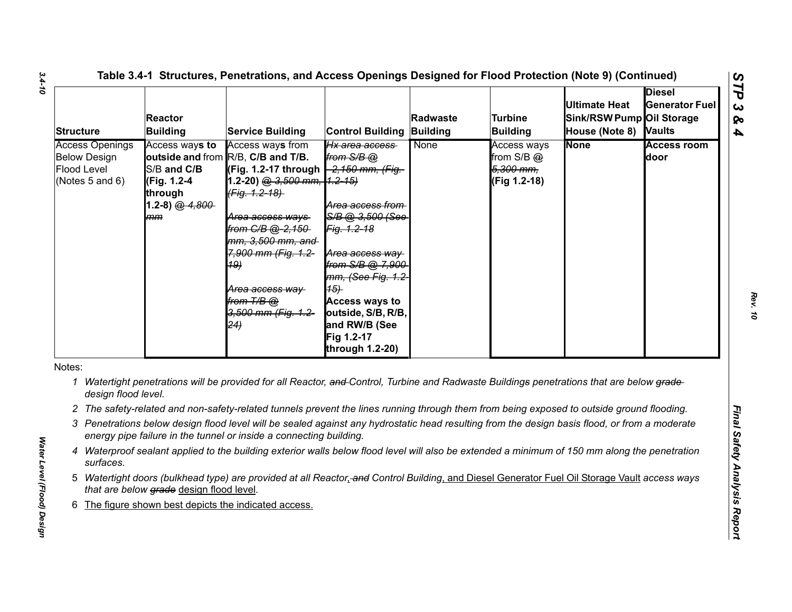| <b>Structure</b>                                                                | <b>Reactor</b><br><b>Building</b>                                                 | <b>Service Building</b>                                                                                                                                                                                                                                                                                                       | <b>Control Building</b>                                                                                                                                                                                                                                      | Radwaste<br>Building | <b>Turbine</b><br><b>Building</b>                          | <b>Ultimate Heat</b><br>Sink/RSW Pump Oil Storage<br>House (Note 8) Vaults | <b>Diesel</b><br><b>Generator Fuel</b> |
|---------------------------------------------------------------------------------|-----------------------------------------------------------------------------------|-------------------------------------------------------------------------------------------------------------------------------------------------------------------------------------------------------------------------------------------------------------------------------------------------------------------------------|--------------------------------------------------------------------------------------------------------------------------------------------------------------------------------------------------------------------------------------------------------------|----------------------|------------------------------------------------------------|----------------------------------------------------------------------------|----------------------------------------|
| <b>Access Openings</b><br><b>Below Design</b><br>Flood Level<br>(Notes 5 and 6) | Access ways to<br>S/B and C/B<br>(Fig. 1.2-4<br>through<br>1.2-8) $@.4.800$<br>mm | Access ways from<br>outside and from R/B, C/B and T/B.<br>(Fig. 1.2-17 through -2,150 mm, (Fig.<br>1.2-20) @ 3,500 mm, 1.2-15)<br>(Fig. 1.2-18)<br><del>Area access ways</del><br>from C/B @-2,150-<br>mm, 3,500 mm, and<br>7,900 mm (Fig. 1.2-<br><b>19)</b><br>Area access way<br>from T/B @<br>3,500 mm (Fig. 1.2-<br>(24) | Hx area access<br>from $S/B$ $@$<br>Area access from<br>S/B @ 3.500 (See<br>Fig. 1.2-18<br>Area access way<br>from S/B @ 7,900<br>mm, (See Fig. 1.2<br>(15)<br><b>Access ways to</b><br>outside, S/B, R/B,<br>and RW/B (See<br>Fig 1.2-17<br>through 1.2-20) | None                 | Access ways<br>from $S/B$ $@$<br>5,300 mm,<br>(Fig 1.2-18) | <b>None</b>                                                                | <b>Access room</b><br>door             |
| Notes:<br>1<br>design flood level.                                              |                                                                                   | Watertight penetrations will be provided for all Reactor, and Control, Turbine and Radwaste Buildings penetrations that are below grade-                                                                                                                                                                                      |                                                                                                                                                                                                                                                              |                      |                                                            |                                                                            |                                        |
|                                                                                 |                                                                                   | 2 The safety-related and non-safety-related tunnels prevent the lines running through them from being exposed to outside ground flooding.                                                                                                                                                                                     |                                                                                                                                                                                                                                                              |                      |                                                            |                                                                            |                                        |
|                                                                                 |                                                                                   | 3 Penetrations below design flood level will be sealed against any hydrostatic head resulting from the design basis flood, or from a moderate<br>energy pipe failure in the tunnel or inside a connecting building.                                                                                                           |                                                                                                                                                                                                                                                              |                      |                                                            |                                                                            |                                        |
| 4<br>surfaces.                                                                  |                                                                                   | Waterproof sealant applied to the building exterior walls below flood level will also be extended a minimum of 150 mm along the penetration                                                                                                                                                                                   |                                                                                                                                                                                                                                                              |                      |                                                            |                                                                            |                                        |
|                                                                                 | that are below grade design flood level.                                          | 5 Watertight doors (bulkhead type) are provided at all Reactor, and Control Building, and Diesel Generator Fuel Oil Storage Vault access ways                                                                                                                                                                                 |                                                                                                                                                                                                                                                              |                      |                                                            |                                                                            |                                        |
|                                                                                 |                                                                                   |                                                                                                                                                                                                                                                                                                                               |                                                                                                                                                                                                                                                              |                      |                                                            |                                                                            |                                        |

*Water Level (Flood) Design* 

Water Level (Flood) Design

- 
- 
- 
- 
- 
-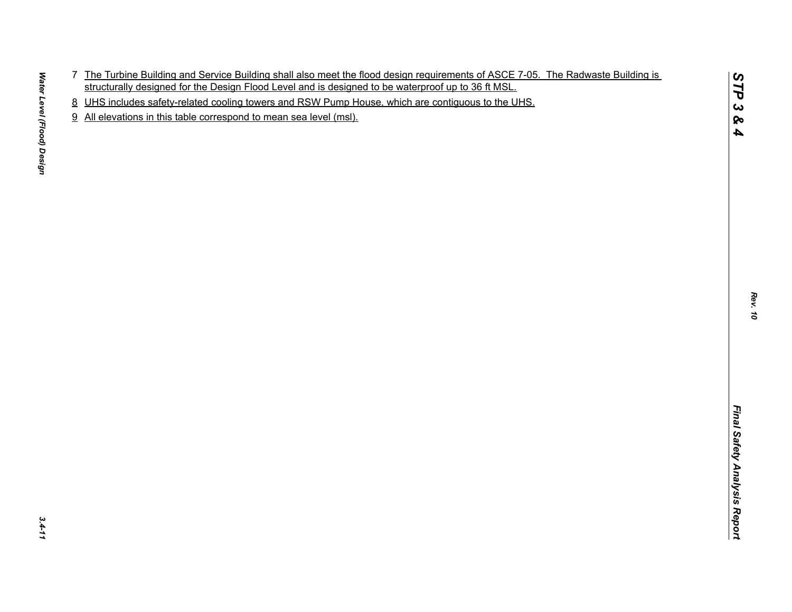- The Tushing Building and Service Building and also meet the flood design requirements of SoCE 7.06. The Redwards Building is<br>structurally designed for the Dealer Freed Level and is designed to be waterproof up to 36 ft MSL
- 
- 

*STP 3 & 4*